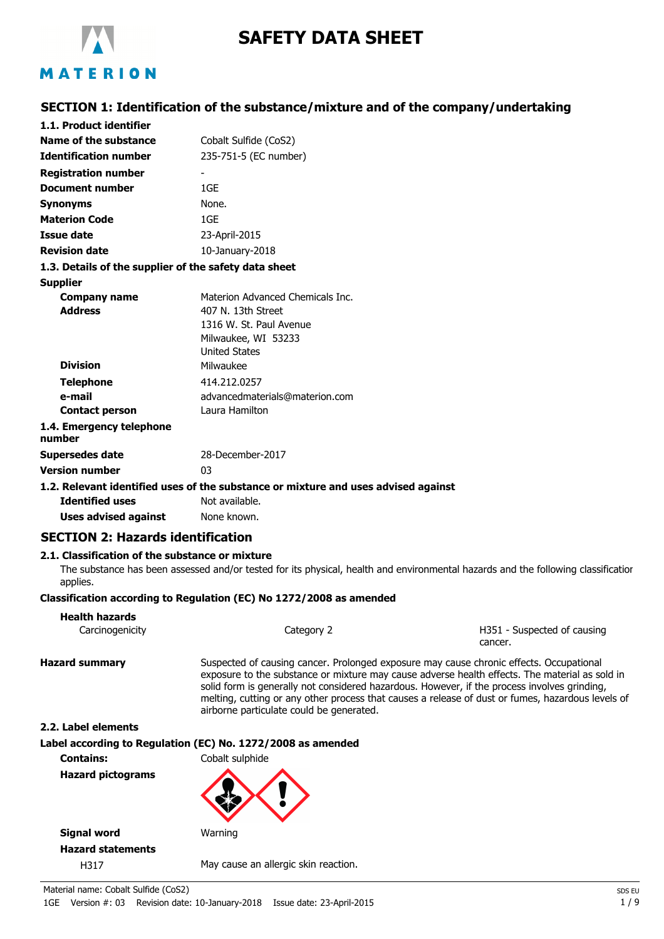

# **SAFETY DATA SHEET**

# **SECTION 1: Identification of the substance/mixture and of the company/undertaking**

| 1.1. Product identifier                               |                                                                                    |
|-------------------------------------------------------|------------------------------------------------------------------------------------|
| Name of the substance                                 | Cobalt Sulfide (CoS2)                                                              |
| <b>Identification number</b>                          | 235-751-5 (EC number)                                                              |
| <b>Registration number</b>                            |                                                                                    |
| <b>Document number</b>                                | 1GE                                                                                |
| <b>Synonyms</b>                                       | None.                                                                              |
| <b>Materion Code</b>                                  | 1GF                                                                                |
| Issue date                                            | 23-April-2015                                                                      |
| <b>Revision date</b>                                  | 10-January-2018                                                                    |
| 1.3. Details of the supplier of the safety data sheet |                                                                                    |
| <b>Supplier</b>                                       |                                                                                    |
| <b>Company name</b>                                   | Materion Advanced Chemicals Inc.                                                   |
| <b>Address</b>                                        | 407 N. 13th Street                                                                 |
|                                                       | 1316 W. St. Paul Avenue                                                            |
|                                                       | Milwaukee, WI 53233                                                                |
|                                                       | <b>United States</b>                                                               |
| <b>Division</b>                                       | Milwaukee                                                                          |
| <b>Telephone</b>                                      | 414.212.0257                                                                       |
| e-mail                                                | advancedmaterials@materion.com                                                     |
| <b>Contact person</b>                                 | Laura Hamilton                                                                     |
| 1.4. Emergency telephone<br>number                    |                                                                                    |
| <b>Supersedes date</b>                                | 28-December-2017                                                                   |
| <b>Version number</b>                                 | 03                                                                                 |
|                                                       | 1.2. Relevant identified uses of the substance or mixture and uses advised against |
| <b>Identified uses</b>                                | Not available.                                                                     |
|                                                       |                                                                                    |

**Uses advised against** None known.

# **SECTION 2: Hazards identification**

# **2.1. Classification of the substance or mixture**

The substance has been assessed and/or tested for its physical, health and environmental hazards and the following classification applies.

### **Classification according to Regulation (EC) No 1272/2008 as amended**

| <b>Health hazards</b><br>Carcinogenicity | Category 2                                                                                                                                                                              | H351 - Suspected of causing<br>cancer.                                                                                                                                                              |
|------------------------------------------|-----------------------------------------------------------------------------------------------------------------------------------------------------------------------------------------|-----------------------------------------------------------------------------------------------------------------------------------------------------------------------------------------------------|
| <b>Hazard summary</b>                    | Suspected of causing cancer. Prolonged exposure may cause chronic effects. Occupational<br>solid form is generally not considered hazardous. However, if the process involves grinding, | exposure to the substance or mixture may cause adverse health effects. The material as sold in<br>melting, cutting or any other process that causes a release of dust or fumes, hazardous levels of |

**2.2. Label elements Label according to Regulation (EC) No. 1272/2008 as amended Contains:** Cobalt sulphide

**Hazard pictograms**



airborne particulate could be generated.

**Signal word** Warning **Hazard statements** H317 May cause an allergic skin reaction.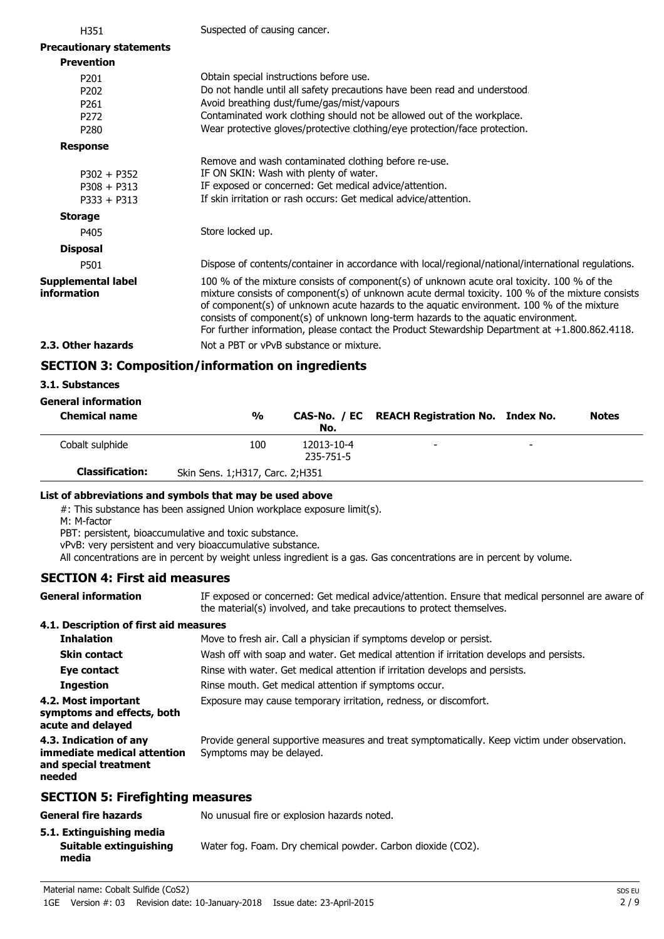| H351                                     | Suspected of causing cancer.                                                                                                                                                                                                                                                                                                                                                                                                                                                       |
|------------------------------------------|------------------------------------------------------------------------------------------------------------------------------------------------------------------------------------------------------------------------------------------------------------------------------------------------------------------------------------------------------------------------------------------------------------------------------------------------------------------------------------|
| <b>Precautionary statements</b>          |                                                                                                                                                                                                                                                                                                                                                                                                                                                                                    |
| <b>Prevention</b>                        |                                                                                                                                                                                                                                                                                                                                                                                                                                                                                    |
| P <sub>201</sub>                         | Obtain special instructions before use.                                                                                                                                                                                                                                                                                                                                                                                                                                            |
| P <sub>202</sub>                         | Do not handle until all safety precautions have been read and understood.                                                                                                                                                                                                                                                                                                                                                                                                          |
| P <sub>261</sub>                         | Avoid breathing dust/fume/gas/mist/vapours                                                                                                                                                                                                                                                                                                                                                                                                                                         |
| P <sub>272</sub>                         | Contaminated work clothing should not be allowed out of the workplace.                                                                                                                                                                                                                                                                                                                                                                                                             |
| P <sub>280</sub>                         | Wear protective gloves/protective clothing/eye protection/face protection.                                                                                                                                                                                                                                                                                                                                                                                                         |
| <b>Response</b>                          |                                                                                                                                                                                                                                                                                                                                                                                                                                                                                    |
|                                          | Remove and wash contaminated clothing before re-use.                                                                                                                                                                                                                                                                                                                                                                                                                               |
| $P302 + P352$                            | IF ON SKIN: Wash with plenty of water.                                                                                                                                                                                                                                                                                                                                                                                                                                             |
| $P308 + P313$                            | IF exposed or concerned: Get medical advice/attention.                                                                                                                                                                                                                                                                                                                                                                                                                             |
| $P333 + P313$                            | If skin irritation or rash occurs: Get medical advice/attention.                                                                                                                                                                                                                                                                                                                                                                                                                   |
| <b>Storage</b>                           |                                                                                                                                                                                                                                                                                                                                                                                                                                                                                    |
| P405                                     | Store locked up.                                                                                                                                                                                                                                                                                                                                                                                                                                                                   |
| <b>Disposal</b>                          |                                                                                                                                                                                                                                                                                                                                                                                                                                                                                    |
| P501                                     | Dispose of contents/container in accordance with local/regional/national/international regulations.                                                                                                                                                                                                                                                                                                                                                                                |
| <b>Supplemental label</b><br>information | 100 % of the mixture consists of component(s) of unknown acute oral toxicity. 100 % of the<br>mixture consists of component(s) of unknown acute dermal toxicity. 100 % of the mixture consists<br>of component(s) of unknown acute hazards to the aquatic environment. 100 % of the mixture<br>consists of component(s) of unknown long-term hazards to the aquatic environment.<br>For further information, please contact the Product Stewardship Department at +1.800.862.4118. |
| 2.3. Other hazards                       | Not a PBT or vPvB substance or mixture.                                                                                                                                                                                                                                                                                                                                                                                                                                            |
| APATTAN A. A                             |                                                                                                                                                                                                                                                                                                                                                                                                                                                                                    |

# **SECTION 3: Composition/information on ingredients**

### **3.1. Substances**

 $\overline{a}$ 

# **General information**

| <b>Chemical name</b>   | $\frac{0}{0}$                     | No.                     | CAS-No. / EC REACH Registration No. Index No. |                          | <b>Notes</b> |
|------------------------|-----------------------------------|-------------------------|-----------------------------------------------|--------------------------|--------------|
| Cobalt sulphide        | 100                               | 12013-10-4<br>235-751-5 | $\overline{\phantom{0}}$                      | $\overline{\phantom{0}}$ |              |
| <b>Classification:</b> | Skin Sens. 1; H317, Carc. 2; H351 |                         |                                               |                          |              |

### **List of abbreviations and symbols that may be used above**

#: This substance has been assigned Union workplace exposure limit(s).

M: M-factor

PBT: persistent, bioaccumulative and toxic substance.

vPvB: very persistent and very bioaccumulative substance.

All concentrations are in percent by weight unless ingredient is a gas. Gas concentrations are in percent by volume.

### **SECTION 4: First aid measures**

IF exposed or concerned: Get medical advice/attention. Ensure that medical personnel are aware of the material(s) involved, and take precautions to protect themselves. **General information**

### **4.1. Description of first aid measures**

| <b>Inhalation</b>                                                                        | Move to fresh air. Call a physician if symptoms develop or persist.                                                       |
|------------------------------------------------------------------------------------------|---------------------------------------------------------------------------------------------------------------------------|
| <b>Skin contact</b>                                                                      | Wash off with soap and water. Get medical attention if irritation develops and persists.                                  |
| Eye contact                                                                              | Rinse with water. Get medical attention if irritation develops and persists.                                              |
| <b>Ingestion</b>                                                                         | Rinse mouth. Get medical attention if symptoms occur.                                                                     |
| 4.2. Most important<br>symptoms and effects, both<br>acute and delayed                   | Exposure may cause temporary irritation, redness, or discomfort.                                                          |
| 4.3. Indication of any<br>immediate medical attention<br>and special treatment<br>needed | Provide general supportive measures and treat symptomatically. Keep victim under observation.<br>Symptoms may be delayed. |
| <b>SECTION 5: Firefighting measures</b>                                                  |                                                                                                                           |
|                                                                                          |                                                                                                                           |

# **General fire hazards** No unusual fire or explosion hazards noted.

| 5.1. Extinguishing media        |                                                             |
|---------------------------------|-------------------------------------------------------------|
| Suitable extinguishing<br>media | Water fog. Foam. Dry chemical powder. Carbon dioxide (CO2). |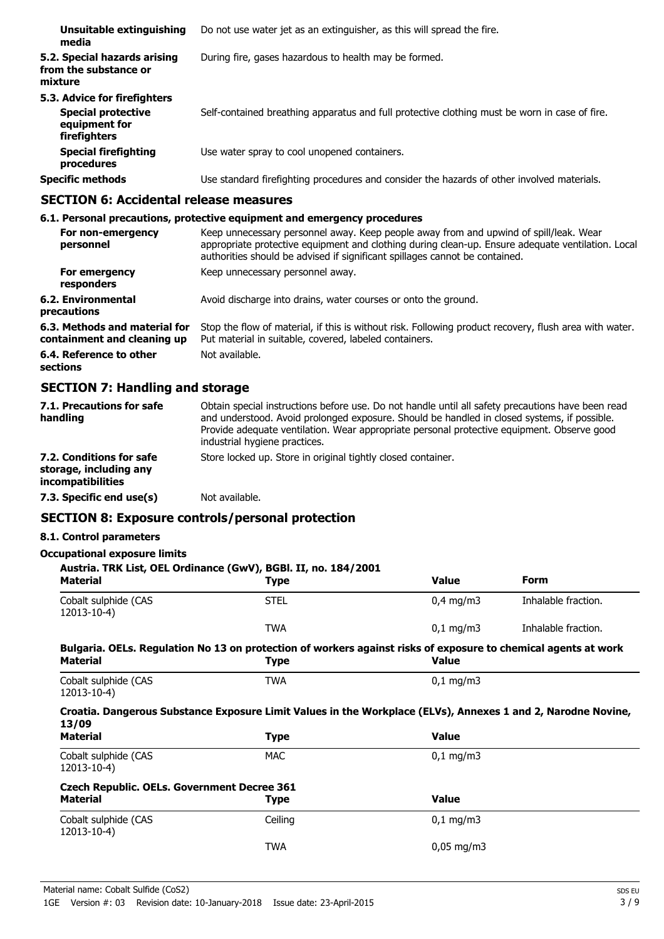| Unsuitable extinguishing<br>media                                                          | Do not use water jet as an extinguisher, as this will spread the fire.                        |
|--------------------------------------------------------------------------------------------|-----------------------------------------------------------------------------------------------|
| 5.2. Special hazards arising<br>from the substance or<br>mixture                           | During fire, gases hazardous to health may be formed.                                         |
| 5.3. Advice for firefighters<br><b>Special protective</b><br>equipment for<br>firefighters | Self-contained breathing apparatus and full protective clothing must be worn in case of fire. |
| <b>Special firefighting</b><br>procedures                                                  | Use water spray to cool unopened containers.                                                  |
| <b>Specific methods</b>                                                                    | Use standard firefighting procedures and consider the hazards of other involved materials.    |

# **SECTION 6: Accidental release measures**

|                                                              | 6.1. Personal precautions, protective equipment and emergency procedures                                                                                                                                                                                                  |
|--------------------------------------------------------------|---------------------------------------------------------------------------------------------------------------------------------------------------------------------------------------------------------------------------------------------------------------------------|
| For non-emergency<br>personnel                               | Keep unnecessary personnel away. Keep people away from and upwind of spill/leak. Wear<br>appropriate protective equipment and clothing during clean-up. Ensure adequate ventilation. Local<br>authorities should be advised if significant spillages cannot be contained. |
| For emergency<br>responders                                  | Keep unnecessary personnel away.                                                                                                                                                                                                                                          |
| 6.2. Environmental<br>precautions                            | Avoid discharge into drains, water courses or onto the ground.                                                                                                                                                                                                            |
| 6.3. Methods and material for<br>containment and cleaning up | Stop the flow of material, if this is without risk. Following product recovery, flush area with water.<br>Put material in suitable, covered, labeled containers.                                                                                                          |
| 6.4. Reference to other<br>sections                          | Not available.                                                                                                                                                                                                                                                            |

# **SECTION 7: Handling and storage**

| 7.1. Precautions for safe<br>handling                                          | Obtain special instructions before use. Do not handle until all safety precautions have been read<br>and understood. Avoid prolonged exposure. Should be handled in closed systems, if possible.<br>Provide adequate ventilation. Wear appropriate personal protective equipment. Observe good<br>industrial hygiene practices. |
|--------------------------------------------------------------------------------|---------------------------------------------------------------------------------------------------------------------------------------------------------------------------------------------------------------------------------------------------------------------------------------------------------------------------------|
| 7.2. Conditions for safe<br>storage, including any<br><i>incompatibilities</i> | Store locked up. Store in original tightly closed container.                                                                                                                                                                                                                                                                    |
| 7.3. Specific end use(s)                                                       | Not available.                                                                                                                                                                                                                                                                                                                  |

# **SECTION 8: Exposure controls/personal protection**

# **8.1. Control parameters**

# **Occupational exposure limits**

| Austria. TRK List, OEL Ordinance (GwV), BGBI. II, no. 184/2001<br><b>Material</b> | <b>Type</b>                                                                                                                   | <b>Value</b>         | <b>Form</b>         |
|-----------------------------------------------------------------------------------|-------------------------------------------------------------------------------------------------------------------------------|----------------------|---------------------|
| Cobalt sulphide (CAS<br>12013-10-4)                                               | <b>STEL</b>                                                                                                                   | $0,4$ mg/m3          | Inhalable fraction. |
|                                                                                   | <b>TWA</b>                                                                                                                    | $0,1$ mg/m3          | Inhalable fraction. |
| <b>Material</b>                                                                   | Bulgaria. OELs. Regulation No 13 on protection of workers against risks of exposure to chemical agents at work<br><b>Type</b> | <b>Value</b>         |                     |
| Cobalt sulphide (CAS                                                              | <b>TWA</b>                                                                                                                    | $0,1$ mg/m3          |                     |
| 12013-10-4)                                                                       |                                                                                                                               |                      |                     |
| 13/09                                                                             | Croatia. Dangerous Substance Exposure Limit Values in the Workplace (ELVs), Annexes 1 and 2, Narodne Novine,                  |                      |                     |
| <b>Material</b>                                                                   | <b>Type</b>                                                                                                                   | <b>Value</b>         |                     |
| Cobalt sulphide (CAS<br>12013-10-4)                                               | MAC                                                                                                                           | $0,1 \, \text{mg/m}$ |                     |
| <b>Czech Republic. OELs. Government Decree 361</b>                                |                                                                                                                               |                      |                     |
| <b>Material</b>                                                                   | Type                                                                                                                          | <b>Value</b>         |                     |
| Cobalt sulphide (CAS<br>12013-10-4)                                               | Ceiling                                                                                                                       | $0.1 \text{ mg/m}$   |                     |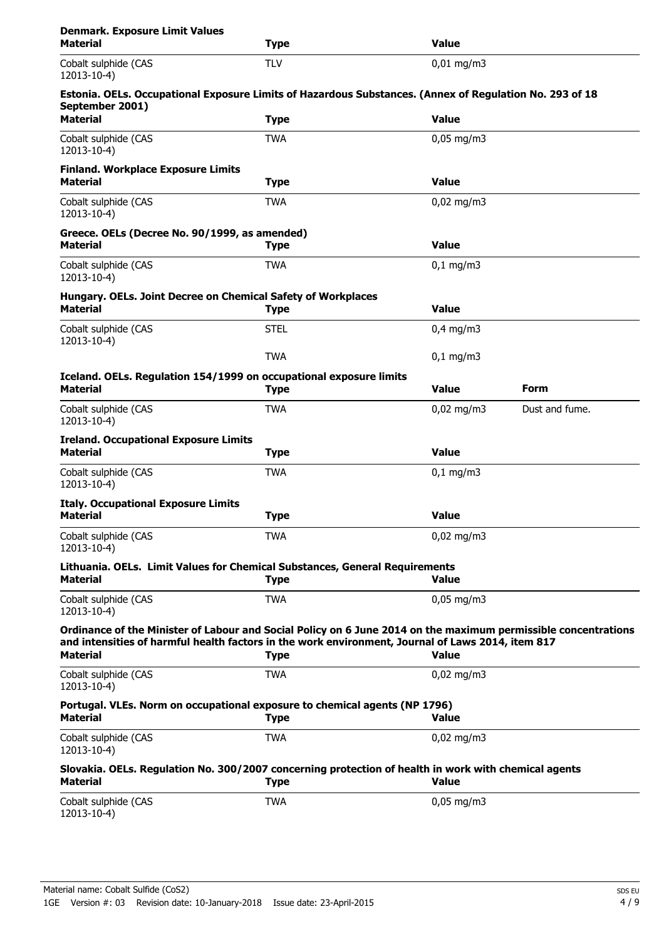| <b>Denmark. Exposure Limit Values</b><br><b>Material</b>                                                                | <b>Type</b> | <b>Value</b>         |                |
|-------------------------------------------------------------------------------------------------------------------------|-------------|----------------------|----------------|
| Cobalt sulphide (CAS<br>12013-10-4)                                                                                     | <b>TLV</b>  | $0.01$ mg/m3         |                |
| Estonia. OELs. Occupational Exposure Limits of Hazardous Substances. (Annex of Regulation No. 293 of 18                 |             |                      |                |
| September 2001)<br><b>Material</b>                                                                                      | <b>Type</b> | <b>Value</b>         |                |
| Cobalt sulphide (CAS<br>12013-10-4)                                                                                     | <b>TWA</b>  | $0,05$ mg/m3         |                |
| <b>Finland. Workplace Exposure Limits</b><br><b>Material</b>                                                            | <b>Type</b> | <b>Value</b>         |                |
| Cobalt sulphide (CAS<br>12013-10-4)                                                                                     | <b>TWA</b>  | $0,02 \text{ mg/m}$  |                |
| Greece. OELs (Decree No. 90/1999, as amended)                                                                           |             |                      |                |
| <b>Material</b>                                                                                                         | <b>Type</b> | <b>Value</b>         |                |
| Cobalt sulphide (CAS<br>12013-10-4)                                                                                     | <b>TWA</b>  | $0,1$ mg/m3          |                |
| Hungary. OELs. Joint Decree on Chemical Safety of Workplaces<br><b>Material</b>                                         | <b>Type</b> | <b>Value</b>         |                |
| Cobalt sulphide (CAS<br>12013-10-4)                                                                                     | <b>STEL</b> | $0.4$ mg/m3          |                |
|                                                                                                                         | <b>TWA</b>  | $0,1 \, \text{mg/m}$ |                |
| Iceland. OELs. Regulation 154/1999 on occupational exposure limits<br><b>Material</b>                                   | <b>Type</b> | <b>Value</b>         | Form           |
| Cobalt sulphide (CAS<br>12013-10-4)                                                                                     | <b>TWA</b>  | $0,02 \text{ mg/m}$  | Dust and fume. |
| <b>Ireland. Occupational Exposure Limits</b><br><b>Material</b>                                                         | <b>Type</b> | <b>Value</b>         |                |
| Cobalt sulphide (CAS<br>12013-10-4)                                                                                     | <b>TWA</b>  | $0,1 \, \text{mg/m}$ |                |
| <b>Italy. Occupational Exposure Limits</b>                                                                              |             |                      |                |
| <b>Material</b>                                                                                                         | <b>Type</b> | <b>Value</b>         |                |
| Cobalt sulphide (CAS<br>12013-10-4)                                                                                     | <b>TWA</b>  | $0,02$ mg/m3         |                |
| Lithuania. OELs. Limit Values for Chemical Substances, General Requirements<br>Material                                 | <b>Type</b> | <b>Value</b>         |                |
| Cobalt sulphide (CAS<br>12013-10-4)                                                                                     | <b>TWA</b>  | $0,05$ mg/m3         |                |
| Ordinance of the Minister of Labour and Social Policy on 6 June 2014 on the maximum permissible concentrations          |             |                      |                |
| and intensities of harmful health factors in the work environment, Journal of Laws 2014, item 817<br><b>Material</b>    | <b>Type</b> | <b>Value</b>         |                |
| Cobalt sulphide (CAS<br>12013-10-4)                                                                                     | <b>TWA</b>  | $0,02$ mg/m3         |                |
| Portugal. VLEs. Norm on occupational exposure to chemical agents (NP 1796)<br><b>Material</b>                           | <b>Type</b> | <b>Value</b>         |                |
| Cobalt sulphide (CAS<br>12013-10-4)                                                                                     | <b>TWA</b>  | $0,02$ mg/m3         |                |
| Slovakia. OELs. Regulation No. 300/2007 concerning protection of health in work with chemical agents<br><b>Material</b> | <b>Type</b> | <b>Value</b>         |                |
| Cobalt sulphide (CAS<br>12013-10-4)                                                                                     | <b>TWA</b>  | $0,05$ mg/m3         |                |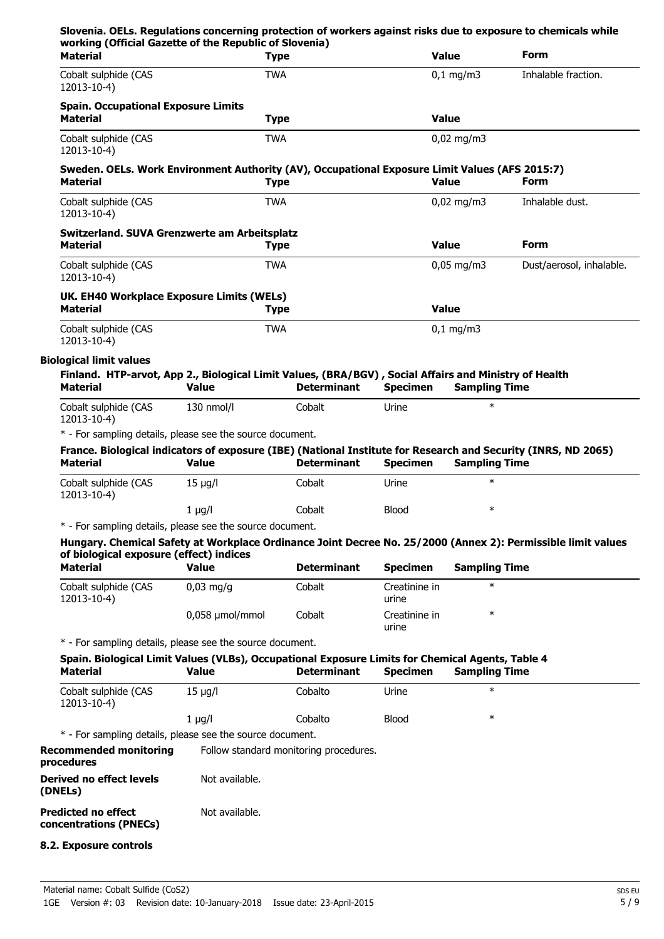| Slovenia. OELs. Regulations concerning protection of workers against risks due to exposure to chemicals while<br>working (Official Gazette of the Republic of Slovenia)    |                 |                                        |                        |                      |                                                                                                              |
|----------------------------------------------------------------------------------------------------------------------------------------------------------------------------|-----------------|----------------------------------------|------------------------|----------------------|--------------------------------------------------------------------------------------------------------------|
| <b>Material</b>                                                                                                                                                            | <b>Type</b>     |                                        |                        | <b>Value</b>         | <b>Form</b>                                                                                                  |
| Cobalt sulphide (CAS<br>12013-10-4)                                                                                                                                        | <b>TWA</b>      |                                        |                        | $0,1$ mg/m3          | Inhalable fraction.                                                                                          |
| <b>Spain. Occupational Exposure Limits</b><br><b>Material</b>                                                                                                              | <b>Type</b>     |                                        |                        | <b>Value</b>         |                                                                                                              |
| Cobalt sulphide (CAS<br>12013-10-4)                                                                                                                                        | <b>TWA</b>      |                                        |                        | $0,02$ mg/m3         |                                                                                                              |
| Sweden. OELs. Work Environment Authority (AV), Occupational Exposure Limit Values (AFS 2015:7)<br><b>Material</b>                                                          | <b>Type</b>     |                                        |                        | <b>Value</b>         | Form                                                                                                         |
| Cobalt sulphide (CAS<br>12013-10-4)                                                                                                                                        | <b>TWA</b>      |                                        |                        | $0,02$ mg/m3         | Inhalable dust.                                                                                              |
| Switzerland. SUVA Grenzwerte am Arbeitsplatz<br><b>Material</b>                                                                                                            | <b>Type</b>     |                                        |                        | <b>Value</b>         | <b>Form</b>                                                                                                  |
| Cobalt sulphide (CAS<br>12013-10-4)                                                                                                                                        | <b>TWA</b>      |                                        |                        | $0,05$ mg/m3         | Dust/aerosol, inhalable.                                                                                     |
| UK. EH40 Workplace Exposure Limits (WELs)<br><b>Material</b>                                                                                                               | <b>Type</b>     |                                        |                        | <b>Value</b>         |                                                                                                              |
| Cobalt sulphide (CAS<br>12013-10-4)                                                                                                                                        | <b>TWA</b>      |                                        |                        | $0,1$ mg/m3          |                                                                                                              |
| <b>Biological limit values</b><br>Finland. HTP-arvot, App 2., Biological Limit Values, (BRA/BGV), Social Affairs and Ministry of Health<br><b>Material</b>                 | <b>Value</b>    | <b>Determinant</b>                     | <b>Specimen</b>        | <b>Sampling Time</b> |                                                                                                              |
| Cobalt sulphide (CAS<br>12013-10-4)                                                                                                                                        | 130 nmol/l      | Cobalt                                 | Urine                  | $\ast$               |                                                                                                              |
| * - For sampling details, please see the source document.<br>France. Biological indicators of exposure (IBE) (National Institute for Research and Security (INRS, ND 2065) |                 |                                        |                        |                      |                                                                                                              |
| <b>Material</b>                                                                                                                                                            | <b>Value</b>    | <b>Determinant</b>                     | <b>Specimen</b>        | <b>Sampling Time</b> |                                                                                                              |
| Cobalt sulphide (CAS<br>12013-10-4)                                                                                                                                        | $15 \mu g/l$    | Cobalt                                 | Urine                  | $\ast$               |                                                                                                              |
|                                                                                                                                                                            | $1 \mu g/l$     | Cobalt                                 | <b>Blood</b>           | $\ast$               |                                                                                                              |
| * - For sampling details, please see the source document.                                                                                                                  |                 |                                        |                        |                      |                                                                                                              |
| of biological exposure (effect) indices                                                                                                                                    |                 |                                        |                        |                      | Hungary. Chemical Safety at Workplace Ordinance Joint Decree No. 25/2000 (Annex 2): Permissible limit values |
| <b>Material</b>                                                                                                                                                            | <b>Value</b>    | <b>Determinant</b>                     | <b>Specimen</b>        | <b>Sampling Time</b> |                                                                                                              |
| Cobalt sulphide (CAS<br>12013-10-4)                                                                                                                                        | $0.03$ mg/g     | Cobalt                                 | Creatinine in<br>urine | $\ast$               |                                                                                                              |
|                                                                                                                                                                            | 0,058 µmol/mmol | Cobalt                                 | Creatinine in<br>urine | $\ast$               |                                                                                                              |
| * - For sampling details, please see the source document.                                                                                                                  |                 |                                        |                        |                      |                                                                                                              |
| Spain. Biological Limit Values (VLBs), Occupational Exposure Limits for Chemical Agents, Table 4<br><b>Material</b>                                                        | <b>Value</b>    | <b>Determinant</b>                     | <b>Specimen</b>        | <b>Sampling Time</b> |                                                                                                              |
| Cobalt sulphide (CAS<br>12013-10-4)                                                                                                                                        | $15 \mu g/l$    | Cobalto                                | Urine                  | $\ast$               |                                                                                                              |
|                                                                                                                                                                            | $1 \mu g/l$     | Cobalto                                | <b>Blood</b>           | $\ast$               |                                                                                                              |
| * - For sampling details, please see the source document.                                                                                                                  |                 |                                        |                        |                      |                                                                                                              |
| <b>Recommended monitoring</b><br>procedures                                                                                                                                |                 | Follow standard monitoring procedures. |                        |                      |                                                                                                              |
| <b>Derived no effect levels</b><br>(DNELs)                                                                                                                                 | Not available.  |                                        |                        |                      |                                                                                                              |
| <b>Predicted no effect</b><br>concentrations (PNECs)                                                                                                                       | Not available.  |                                        |                        |                      |                                                                                                              |
|                                                                                                                                                                            |                 |                                        |                        |                      |                                                                                                              |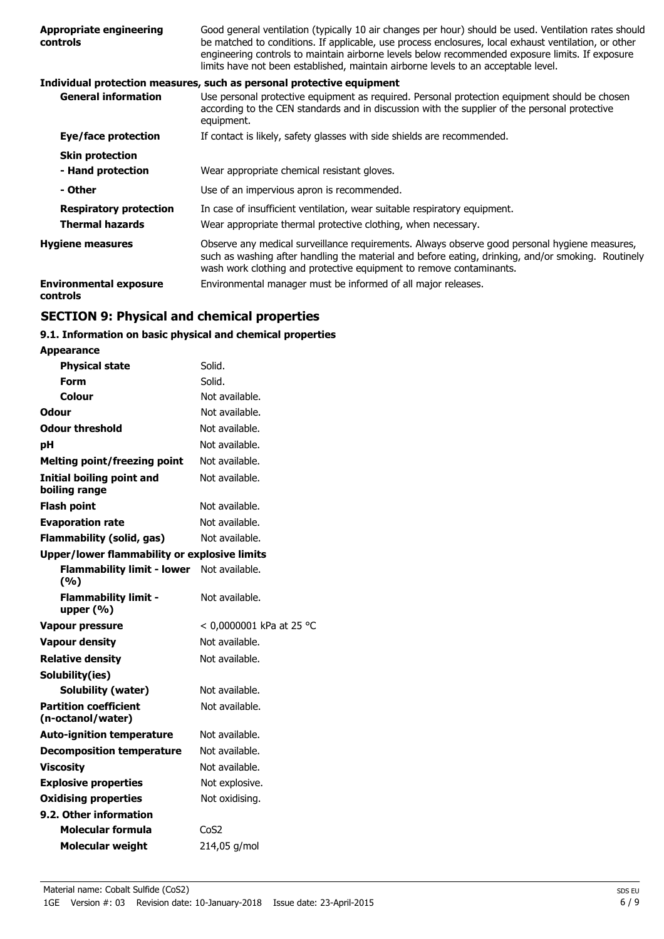| <b>Appropriate engineering</b><br>controls | Good general ventilation (typically 10 air changes per hour) should be used. Ventilation rates should<br>be matched to conditions. If applicable, use process enclosures, local exhaust ventilation, or other<br>engineering controls to maintain airborne levels below recommended exposure limits. If exposure<br>limits have not been established, maintain airborne levels to an acceptable level. |
|--------------------------------------------|--------------------------------------------------------------------------------------------------------------------------------------------------------------------------------------------------------------------------------------------------------------------------------------------------------------------------------------------------------------------------------------------------------|
|                                            | Individual protection measures, such as personal protective equipment                                                                                                                                                                                                                                                                                                                                  |
| <b>General information</b>                 | Use personal protective equipment as required. Personal protection equipment should be chosen<br>according to the CEN standards and in discussion with the supplier of the personal protective<br>equipment.                                                                                                                                                                                           |
| Eye/face protection                        | If contact is likely, safety glasses with side shields are recommended.                                                                                                                                                                                                                                                                                                                                |
| <b>Skin protection</b>                     |                                                                                                                                                                                                                                                                                                                                                                                                        |
| - Hand protection                          | Wear appropriate chemical resistant gloves.                                                                                                                                                                                                                                                                                                                                                            |
| - Other                                    | Use of an impervious apron is recommended.                                                                                                                                                                                                                                                                                                                                                             |
| <b>Respiratory protection</b>              | In case of insufficient ventilation, wear suitable respiratory equipment.                                                                                                                                                                                                                                                                                                                              |
| <b>Thermal hazards</b>                     | Wear appropriate thermal protective clothing, when necessary.                                                                                                                                                                                                                                                                                                                                          |
| <b>Hygiene measures</b>                    | Observe any medical surveillance requirements. Always observe good personal hygiene measures,<br>such as washing after handling the material and before eating, drinking, and/or smoking. Routinely<br>wash work clothing and protective equipment to remove contaminants.                                                                                                                             |
| <b>Environmental exposure</b><br>controls  | Environmental manager must be informed of all major releases.                                                                                                                                                                                                                                                                                                                                          |

# **SECTION 9: Physical and chemical properties**

# **9.1. Information on basic physical and chemical properties**

| <b>Appearance</b>                                   |                          |
|-----------------------------------------------------|--------------------------|
| <b>Physical state</b>                               | Solid.                   |
| Form                                                | Solid.                   |
| Colour                                              | Not available.           |
| Odour                                               | Not available.           |
| <b>Odour threshold</b>                              | Not available.           |
| рH                                                  | Not available.           |
| <b>Melting point/freezing point</b>                 | Not available.           |
| Initial boiling point and<br>boiling range          | Not available.           |
| <b>Flash point</b>                                  | Not available.           |
| <b>Evaporation rate</b>                             | Not available.           |
| Flammability (solid, gas)                           | Not available.           |
| <b>Upper/lower flammability or explosive limits</b> |                          |
| <b>Flammability limit - lower</b><br>(%)            | Not available.           |
| <b>Flammability limit -</b><br>upper $(% )$         | Not available.           |
| <b>Vapour pressure</b>                              | < 0,0000001 kPa at 25 °C |
| <b>Vapour density</b>                               | Not available.           |
| <b>Relative density</b>                             | Not available.           |
| Solubility(ies)                                     |                          |
| Solubility (water)                                  | Not available.           |
| <b>Partition coefficient</b><br>(n-octanol/water)   | Not available.           |
| <b>Auto-ignition temperature</b>                    | Not available.           |
| <b>Decomposition temperature</b>                    | Not available.           |
| <b>Viscosity</b>                                    | Not available.           |
| <b>Explosive properties</b>                         | Not explosive.           |
| <b>Oxidising properties</b>                         | Not oxidising.           |
| 9.2. Other information                              |                          |
| Molecular formula                                   | CoS <sub>2</sub>         |
| <b>Molecular weight</b>                             | 214,05 g/mol             |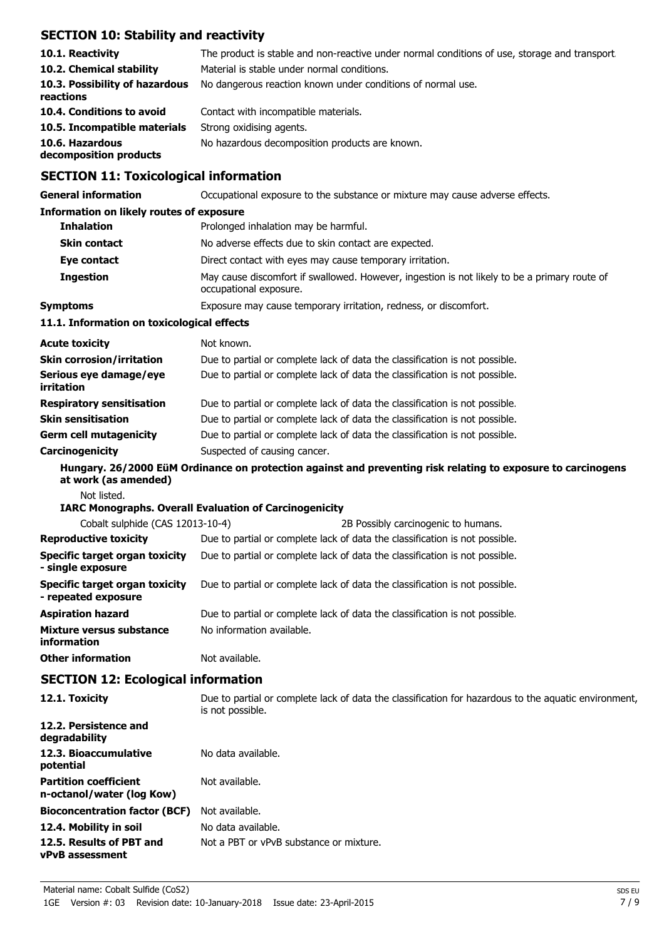# **SECTION 10: Stability and reactivity**

| 10.1. Reactivity<br>10.2. Chemical stability<br>10.3. Possibility of hazardous<br>reactions | The product is stable and non-reactive under normal conditions of use, storage and transport.<br>Material is stable under normal conditions.<br>No dangerous reaction known under conditions of normal use. |
|---------------------------------------------------------------------------------------------|-------------------------------------------------------------------------------------------------------------------------------------------------------------------------------------------------------------|
| 10.4. Conditions to avoid                                                                   | Contact with incompatible materials.                                                                                                                                                                        |
| 10.5. Incompatible materials                                                                | Strong oxidising agents.                                                                                                                                                                                    |
| 10.6. Hazardous<br>decomposition products                                                   | No hazardous decomposition products are known.                                                                                                                                                              |

# **SECTION 11: Toxicological information**

| <b>General information</b>                                   | Occupational exposure to the substance or mixture may cause adverse effects.                                             |
|--------------------------------------------------------------|--------------------------------------------------------------------------------------------------------------------------|
| <b>Information on likely routes of exposure</b>              |                                                                                                                          |
| <b>Inhalation</b>                                            | Prolonged inhalation may be harmful.                                                                                     |
| <b>Skin contact</b>                                          | No adverse effects due to skin contact are expected.                                                                     |
| Eye contact                                                  | Direct contact with eyes may cause temporary irritation.                                                                 |
| <b>Ingestion</b>                                             | May cause discomfort if swallowed. However, ingestion is not likely to be a primary route of<br>occupational exposure.   |
| <b>Symptoms</b>                                              | Exposure may cause temporary irritation, redness, or discomfort.                                                         |
| 11.1. Information on toxicological effects                   |                                                                                                                          |
| <b>Acute toxicity</b>                                        | Not known.                                                                                                               |
| <b>Skin corrosion/irritation</b>                             | Due to partial or complete lack of data the classification is not possible.                                              |
| Serious eye damage/eye<br>irritation                         | Due to partial or complete lack of data the classification is not possible.                                              |
| <b>Respiratory sensitisation</b>                             | Due to partial or complete lack of data the classification is not possible.                                              |
| <b>Skin sensitisation</b>                                    | Due to partial or complete lack of data the classification is not possible.                                              |
| <b>Germ cell mutagenicity</b>                                | Due to partial or complete lack of data the classification is not possible.                                              |
| Carcinogenicity                                              | Suspected of causing cancer.                                                                                             |
| at work (as amended)                                         | Hungary. 26/2000 EüM Ordinance on protection against and preventing risk relating to exposure to carcinogens             |
| Not listed.                                                  |                                                                                                                          |
|                                                              | <b>IARC Monographs. Overall Evaluation of Carcinogenicity</b>                                                            |
| Cobalt sulphide (CAS 12013-10-4)                             | 2B Possibly carcinogenic to humans.                                                                                      |
| <b>Reproductive toxicity</b>                                 | Due to partial or complete lack of data the classification is not possible.                                              |
| <b>Specific target organ toxicity</b><br>- single exposure   | Due to partial or complete lack of data the classification is not possible.                                              |
| <b>Specific target organ toxicity</b><br>- repeated exposure | Due to partial or complete lack of data the classification is not possible.                                              |
| <b>Aspiration hazard</b>                                     | Due to partial or complete lack of data the classification is not possible.                                              |
| Mixture versus substance<br>information                      | No information available.                                                                                                |
| <b>Other information</b>                                     | Not available.                                                                                                           |
| <b>SECTION 12: Ecological information</b>                    |                                                                                                                          |
| 12.1. Toxicity                                               | Due to partial or complete lack of data the classification for hazardous to the aquatic environment,<br>is not possible. |
| 12.2. Persistence and<br>degradability                       |                                                                                                                          |
| 12.3. Bioaccumulative<br>potential                           | No data available.                                                                                                       |
| <b>Partition coefficient</b><br>n-octanol/water (log Kow)    | Not available.                                                                                                           |
| <b>Bioconcentration factor (BCF)</b>                         | Not available.                                                                                                           |
| 12.4. Mobility in soil                                       | No data available.                                                                                                       |
| 12.5. Results of PBT and<br>vPvB assessment                  | Not a PBT or vPvB substance or mixture.                                                                                  |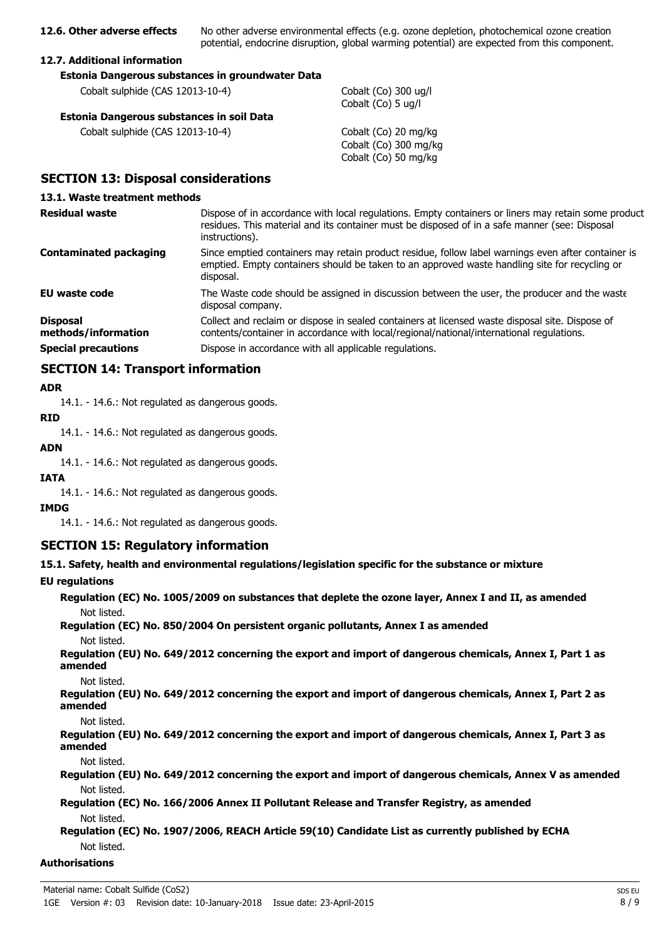**12.6. Other adverse effects** No other adverse environmental effects (e.g. ozone depletion, photochemical ozone creation potential, endocrine disruption, global warming potential) are expected from this component.

### **12.7. Additional information**

| Estonia Dangerous substances in groundwater Data |                      |
|--------------------------------------------------|----------------------|
| Cobalt sulphide (CAS 12013-10-4)                 | Cobalt (<br>Cobalt ( |
| Estonia Dangerous substances in soil Data        |                      |
| Cobalt sulphide (CAS 12013-10-4)                 | Cobalt (             |

 $(Co)$  300 ug/l  $(Co)$  5 ug/l

 $(Co)$  20 mg/kg Cobalt (Co) 300 mg/kg Cobalt (Co) 50 mg/kg

# **SECTION 13: Disposal considerations**

### **13.1. Waste treatment methods**

| <b>Residual waste</b>                  | Dispose of in accordance with local regulations. Empty containers or liners may retain some product<br>residues. This material and its container must be disposed of in a safe manner (see: Disposal<br>instructions). |
|----------------------------------------|------------------------------------------------------------------------------------------------------------------------------------------------------------------------------------------------------------------------|
| Contaminated packaging                 | Since emptied containers may retain product residue, follow label warnings even after container is<br>emptied. Empty containers should be taken to an approved waste handling site for recycling or<br>disposal.       |
| <b>EU</b> waste code                   | The Waste code should be assigned in discussion between the user, the producer and the waste<br>disposal company.                                                                                                      |
| <b>Disposal</b><br>methods/information | Collect and reclaim or dispose in sealed containers at licensed waste disposal site. Dispose of<br>contents/container in accordance with local/regional/national/international regulations.                            |
| <b>Special precautions</b>             | Dispose in accordance with all applicable regulations.                                                                                                                                                                 |

### **SECTION 14: Transport information**

### **ADR**

14.1. - 14.6.: Not regulated as dangerous goods.

### **RID**

14.1. - 14.6.: Not regulated as dangerous goods.

#### **ADN**

14.1. - 14.6.: Not regulated as dangerous goods.

### **IATA**

14.1. - 14.6.: Not regulated as dangerous goods.

### **IMDG**

14.1. - 14.6.: Not regulated as dangerous goods.

### **SECTION 15: Regulatory information**

**15.1. Safety, health and environmental regulations/legislation specific for the substance or mixture**

### **EU regulations**

**Regulation (EC) No. 1005/2009 on substances that deplete the ozone layer, Annex I and II, as amended** Not listed.

**Regulation (EC) No. 850/2004 On persistent organic pollutants, Annex I as amended** Not listed.

**Regulation (EU) No. 649/2012 concerning the export and import of dangerous chemicals, Annex I, Part 1 as amended**

Not listed.

**Regulation (EU) No. 649/2012 concerning the export and import of dangerous chemicals, Annex I, Part 2 as amended**

Not listed.

**Regulation (EU) No. 649/2012 concerning the export and import of dangerous chemicals, Annex I, Part 3 as amended**

Not listed.

**Regulation (EU) No. 649/2012 concerning the export and import of dangerous chemicals, Annex V as amended** Not listed.

**Regulation (EC) No. 166/2006 Annex II Pollutant Release and Transfer Registry, as amended** Not listed.

**Regulation (EC) No. 1907/2006, REACH Article 59(10) Candidate List as currently published by ECHA** Not listed.

### **Authorisations**